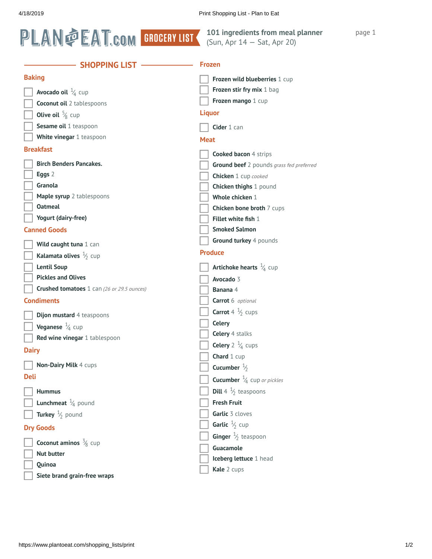

## **101 ingredients from meal planner** (Sun, Apr 14 — Sat, Apr 20)

page 1

| <b>SHOPPING LIST</b>                              | <b>Frozen</b>                                    |
|---------------------------------------------------|--------------------------------------------------|
| <b>Baking</b>                                     | Frozen wild blueberries 1 cup                    |
| <b>Avocado oil</b> $\frac{1}{4}$ cup              | Frozen stir fry mix 1 bag                        |
| <b>Coconut oil</b> 2 tablespoons                  | Frozen mango 1 cup                               |
| <b>Olive oil</b> $\frac{5}{8}$ cup                | <b>Liquor</b>                                    |
| Sesame oil 1 teaspoon                             | Cider 1 can                                      |
| White vinegar 1 teaspoon                          | <b>Meat</b>                                      |
| <b>Breakfast</b>                                  |                                                  |
|                                                   | <b>Cooked bacon 4 strips</b>                     |
| <b>Birch Benders Pancakes.</b>                    | Ground beef 2 pounds grass fed preferred         |
| Eggs 2<br>Granola                                 | Chicken 1 cup cooked                             |
| Maple syrup 2 tablespoons                         | Chicken thighs 1 pound<br>Whole chicken 1        |
| <b>Oatmeal</b>                                    |                                                  |
| Yogurt (dairy-free)                               | Chicken bone broth 7 cups<br>Fillet white fish 1 |
| <b>Canned Goods</b>                               | <b>Smoked Salmon</b>                             |
|                                                   | Ground turkey 4 pounds                           |
| Wild caught tuna 1 can                            | <b>Produce</b>                                   |
| Kalamata olives $\frac{1}{2}$ cup                 |                                                  |
| <b>Lentil Soup</b>                                | <b>Artichoke hearts</b> $\frac{1}{4}$ cup        |
| <b>Pickles and Olives</b>                         | Avocado 3                                        |
| <b>Crushed tomatoes</b> 1 can (26 or 29.5 ounces) | Banana 4                                         |
| <b>Condiments</b>                                 | Carrot 6 optional                                |
| <b>Dijon mustard 4 teaspoons</b>                  | <b>Carrot</b> 4 $\frac{1}{2}$ cups               |
| <b>Veganese</b> $\frac{1}{4}$ cup                 | <b>Celery</b>                                    |
| Red wine vinegar 1 tablespoon                     | Celery 4 stalks                                  |
| <b>Dairy</b>                                      | <b>Celery</b> $2\frac{1}{4}$ cups                |
| Non-Dairy Milk 4 cups                             | Chard 1 cup                                      |
| <b>Deli</b>                                       | Cucumber $\frac{1}{2}$                           |
|                                                   | <b>Cucumber</b> $\frac{1}{4}$ cup or pickles     |
| <b>Hummus</b>                                     | <b>Dill</b> 4 $\frac{1}{2}$ teaspoons            |
| <b>Lunchmeat</b> $\frac{1}{4}$ pound              | <b>Fresh Fruit</b>                               |
| Turkey $\frac{1}{2}$ pound                        | Garlic 3 cloves                                  |
| <b>Dry Goods</b>                                  | <b>Garlic</b> $\frac{1}{2}$ cup                  |
| <b>Coconut aminos</b> $\frac{3}{8}$ cup           | Ginger $\frac{1}{2}$ teaspoon                    |
| <b>Nut butter</b>                                 | Guacamole                                        |
| Quinoa                                            | Iceberg lettuce 1 head                           |
| Siete brand grain-free wraps                      | Kale 2 cups                                      |
|                                                   |                                                  |